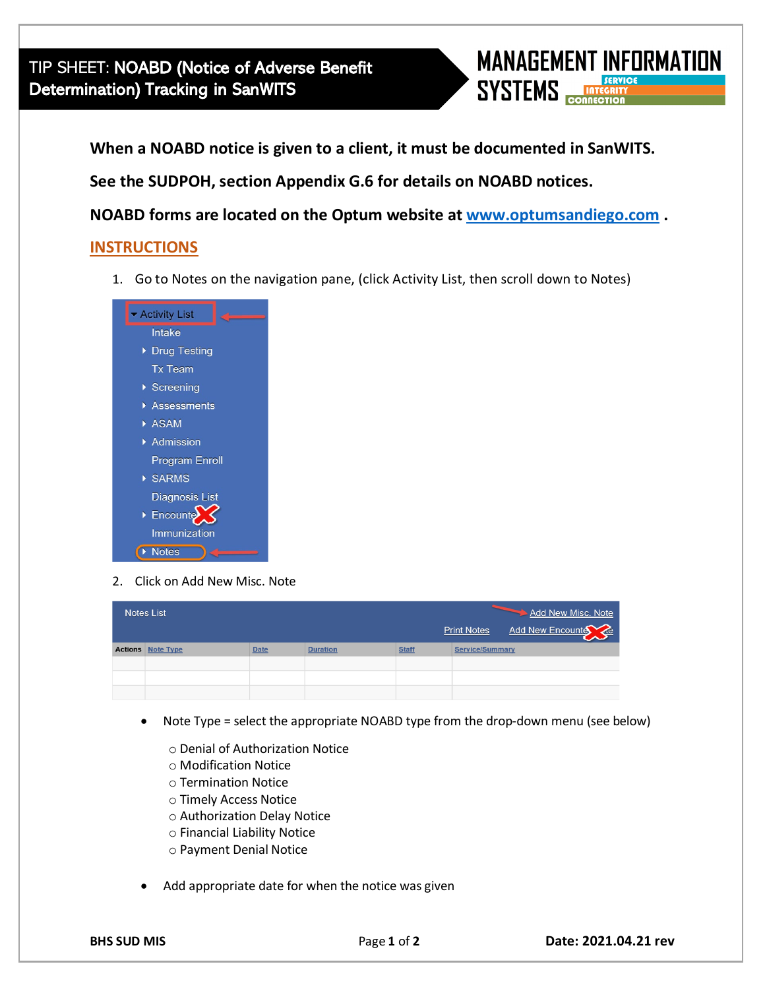

**When a NOABD notice is given to a client, it must be documented in SanWITS.**

**See the SUDPOH, section Appendix G.6 for details on NOABD notices.** 

**NOABD forms are located on the Optum website at [www.optumsandiego.com](http://www.optumsandiego.com/) .** 

## **INSTRUCTIONS**

1. Go to Notes on the navigation pane, (click Activity List, then scroll down to Notes)



2. Click on Add New Misc. Note

| Add New Misc. Note<br><b>Notes List</b><br>Add New Encounter<br><b>Print Notes</b> |           |             |                 |              |                        |
|------------------------------------------------------------------------------------|-----------|-------------|-----------------|--------------|------------------------|
| <b>Actions</b>                                                                     | Note Type | <b>Date</b> | <b>Duration</b> | <b>Staff</b> | <b>Service/Summary</b> |
|                                                                                    |           |             |                 |              |                        |
|                                                                                    |           |             |                 |              |                        |
|                                                                                    |           |             |                 |              |                        |

- Note Type = select the appropriate NOABD type from the drop-down menu (see below)
	- o Denial of Authorization Notice
	- o Modification Notice
	- o Termination Notice
	- o Timely Access Notice
	- o Authorization Delay Notice
	- o Financial Liability Notice
	- o Payment Denial Notice
- Add appropriate date for when the notice was given